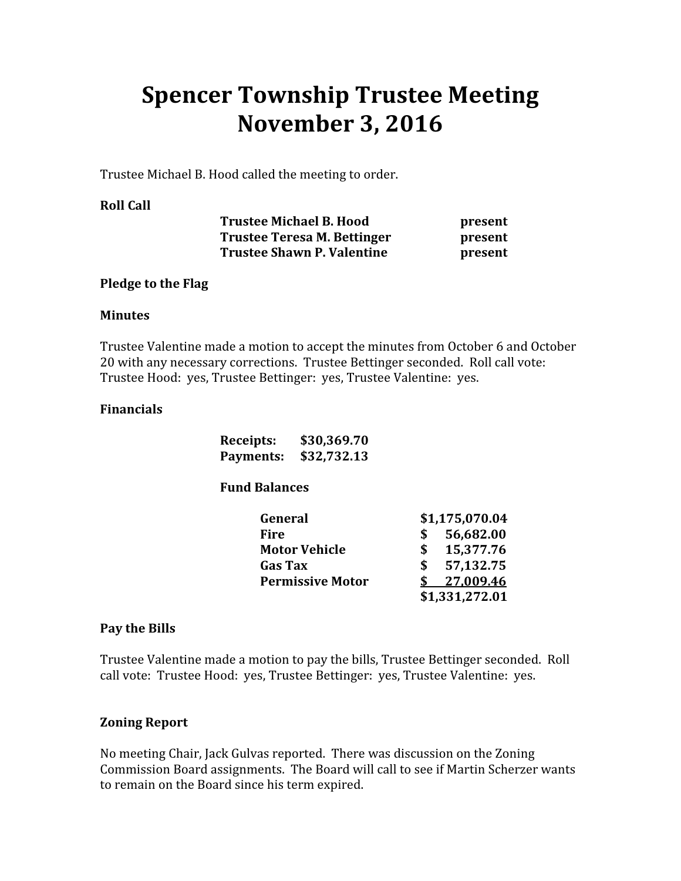# Spencer Township Trustee Meeting November 3, 2016

Trustee Michael B. Hood called the meeting to order.

#### Roll Call

| <b>Trustee Michael B. Hood</b>    |  |
|-----------------------------------|--|
| Trustee Teresa M. Bettinger       |  |
| <b>Trustee Shawn P. Valentine</b> |  |

present present present

#### Pledge to the Flag

#### **Minutes**

Trustee Valentine made a motion to accept the minutes from October 6 and October 20 with any necessary corrections. Trustee Bettinger seconded. Roll call vote: Trustee Hood: yes, Trustee Bettinger: yes, Trustee Valentine: yes.

#### Financials

| Receipts: | \$30,369.70           |
|-----------|-----------------------|
|           | Payments: \$32,732.13 |

# Fund Balances

| General                 | \$1,175,070.04 |
|-------------------------|----------------|
| Fire                    | 56,682.00      |
| <b>Motor Vehicle</b>    | 15,377.76      |
| <b>Gas Tax</b>          | 57,132.75      |
| <b>Permissive Motor</b> | 27,009.46      |
|                         | \$1,331,272.01 |

# Pay the Bills

Trustee Valentine made a motion to pay the bills, Trustee Bettinger seconded. Roll call vote: Trustee Hood: yes, Trustee Bettinger: yes, Trustee Valentine: yes.

# Zoning Report

No meeting Chair, Jack Gulvas reported. There was discussion on the Zoning Commission Board assignments. The Board will call to see if Martin Scherzer wants to remain on the Board since his term expired.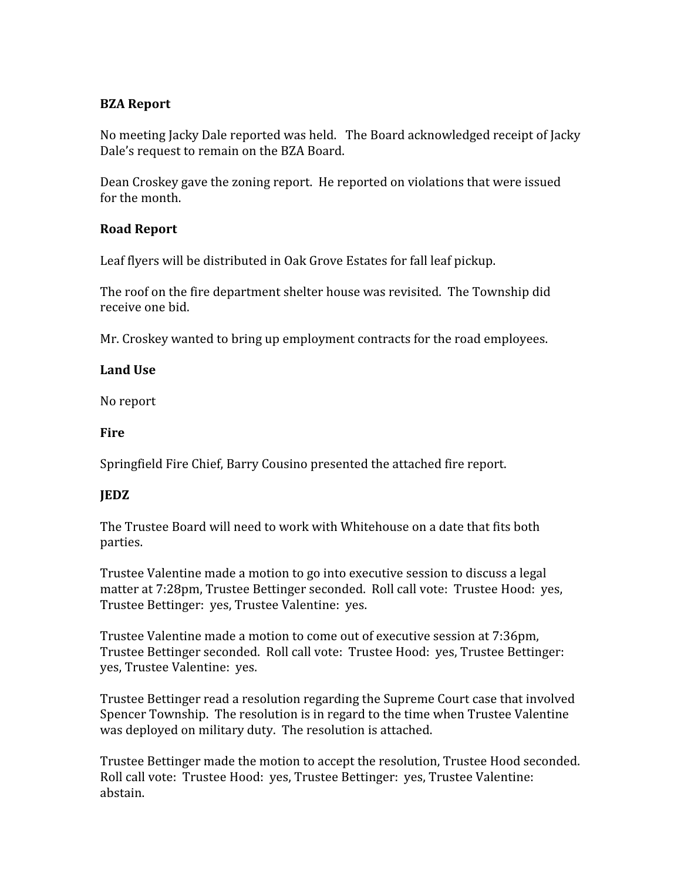# BZA Report

No meeting Jacky Dale reported was held. The Board acknowledged receipt of Jacky Dale's request to remain on the BZA Board.

Dean Croskey gave the zoning report. He reported on violations that were issued for the month.

# Road Report

Leaf flyers will be distributed in Oak Grove Estates for fall leaf pickup.

The roof on the fire department shelter house was revisited. The Township did receive one bid.

Mr. Croskey wanted to bring up employment contracts for the road employees.

# Land Use

No report

# **Fire**

Springfield Fire Chief, Barry Cousino presented the attached fire report.

# JEDZ

The Trustee Board will need to work with Whitehouse on a date that fits both parties.

Trustee Valentine made a motion to go into executive session to discuss a legal matter at 7:28pm, Trustee Bettinger seconded. Roll call vote: Trustee Hood: yes, Trustee Bettinger: yes, Trustee Valentine: yes.

Trustee Valentine made a motion to come out of executive session at 7:36pm, Trustee Bettinger seconded. Roll call vote: Trustee Hood: yes, Trustee Bettinger: yes, Trustee Valentine: yes.

Trustee Bettinger read a resolution regarding the Supreme Court case that involved Spencer Township. The resolution is in regard to the time when Trustee Valentine was deployed on military duty. The resolution is attached.

Trustee Bettinger made the motion to accept the resolution, Trustee Hood seconded. Roll call vote: Trustee Hood: yes, Trustee Bettinger: yes, Trustee Valentine: abstain.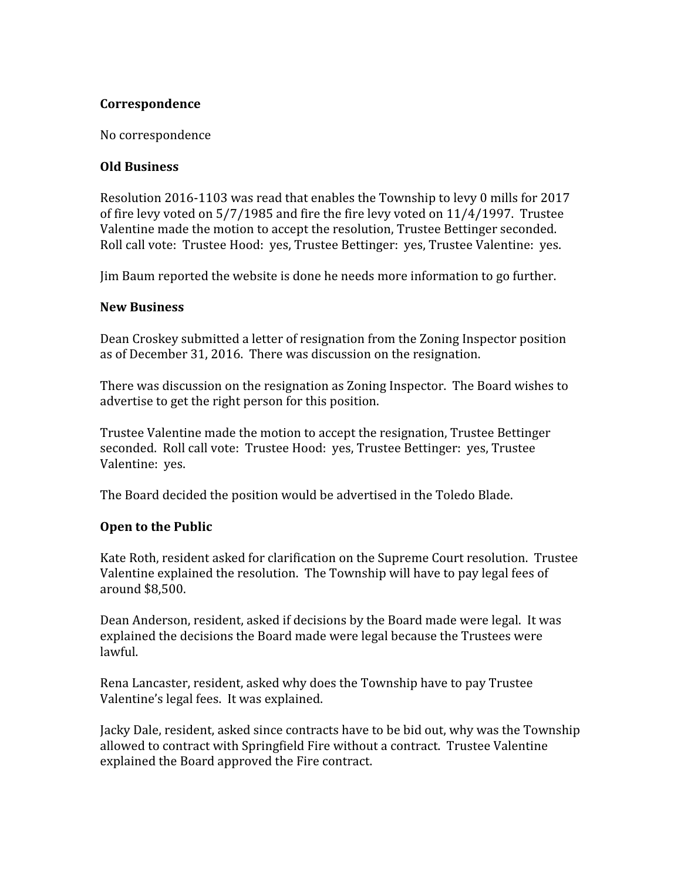# Correspondence

No correspondence

#### Old Business

Resolution 2016-1103 was read that enables the Township to levy 0 mills for 2017 of fire levy voted on 5/7/1985 and fire the fire levy voted on 11/4/1997. Trustee Valentine made the motion to accept the resolution, Trustee Bettinger seconded. Roll call vote: Trustee Hood: yes, Trustee Bettinger: yes, Trustee Valentine: yes.

Jim Baum reported the website is done he needs more information to go further.

# New Business

Dean Croskey submitted a letter of resignation from the Zoning Inspector position as of December 31, 2016. There was discussion on the resignation.

There was discussion on the resignation as Zoning Inspector. The Board wishes to advertise to get the right person for this position.

Trustee Valentine made the motion to accept the resignation, Trustee Bettinger seconded. Roll call vote: Trustee Hood: yes, Trustee Bettinger: yes, Trustee Valentine: yes.

The Board decided the position would be advertised in the Toledo Blade.

# Open to the Public

Kate Roth, resident asked for clarification on the Supreme Court resolution. Trustee Valentine explained the resolution. The Township will have to pay legal fees of around \$8,500.

Dean Anderson, resident, asked if decisions by the Board made were legal. It was explained the decisions the Board made were legal because the Trustees were lawful.

Rena Lancaster, resident, asked why does the Township have to pay Trustee Valentine's legal fees. It was explained.

Jacky Dale, resident, asked since contracts have to be bid out, why was the Township allowed to contract with Springfield Fire without a contract. Trustee Valentine explained the Board approved the Fire contract.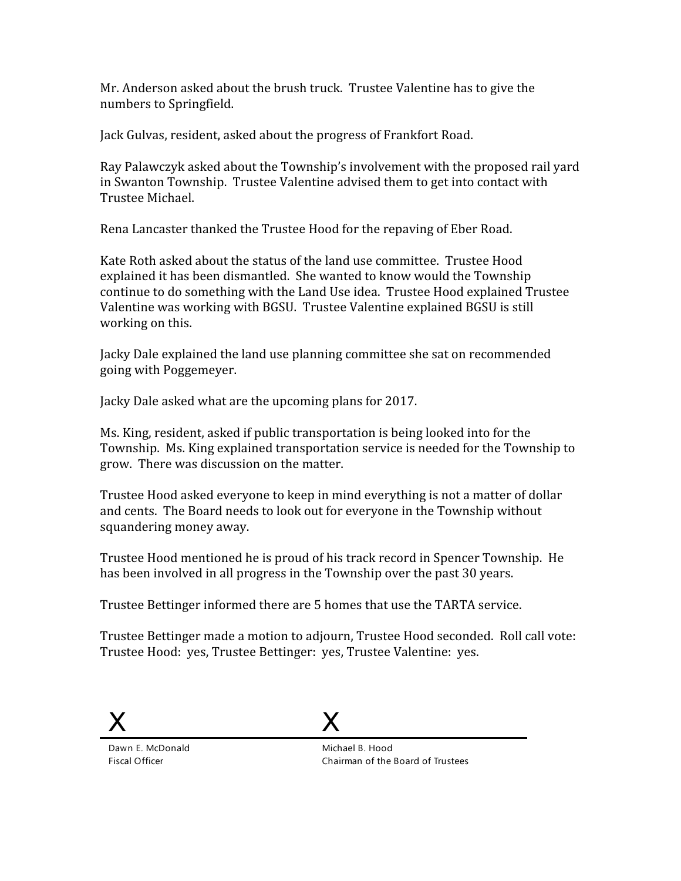Mr. Anderson asked about the brush truck. Trustee Valentine has to give the numbers to Springfield.

Jack Gulvas, resident, asked about the progress of Frankfort Road.

Ray Palawczyk asked about the Township's involvement with the proposed rail yard in Swanton Township. Trustee Valentine advised them to get into contact with Trustee Michael.

Rena Lancaster thanked the Trustee Hood for the repaving of Eber Road.

Kate Roth asked about the status of the land use committee. Trustee Hood explained it has been dismantled. She wanted to know would the Township continue to do something with the Land Use idea. Trustee Hood explained Trustee Valentine was working with BGSU. Trustee Valentine explained BGSU is still working on this.

Jacky Dale explained the land use planning committee she sat on recommended going with Poggemeyer.

Jacky Dale asked what are the upcoming plans for 2017.

Ms. King, resident, asked if public transportation is being looked into for the Township. Ms. King explained transportation service is needed for the Township to grow. There was discussion on the matter.

Trustee Hood asked everyone to keep in mind everything is not a matter of dollar and cents. The Board needs to look out for everyone in the Township without squandering money away.

Trustee Hood mentioned he is proud of his track record in Spencer Township. He has been involved in all progress in the Township over the past 30 years.

Trustee Bettinger informed there are 5 homes that use the TARTA service.

Trustee Bettinger made a motion to adjourn, Trustee Hood seconded. Roll call vote: Trustee Hood: yes, Trustee Bettinger: yes, Trustee Valentine: yes.





Dawn E. McDonald Fiscal Officer

Michael B. Hood Chairman of the Board of Trustees